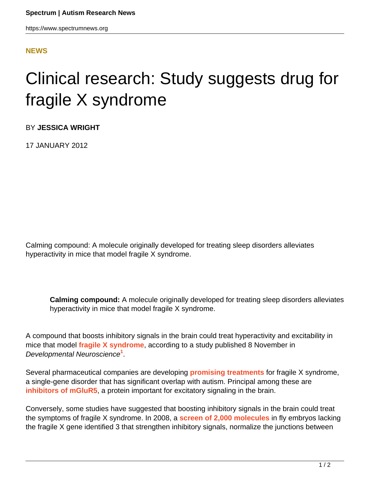https://www.spectrumnews.org

## **[NEWS](HTTPS://WWW.SPECTRUMNEWS.ORG/NEWS/)**

## Clinical research: Study suggests drug for fragile X syndrome

BY **JESSICA WRIGHT**

17 JANUARY 2012

Calming compound: A molecule originally developed for treating sleep disorders alleviates hyperactivity in mice that model fragile X syndrome.

**Calming compound:** A molecule originally developed for treating sleep disorders alleviates hyperactivity in mice that model fragile X syndrome.

A compound that boosts inhibitory signals in the brain could treat hyperactivity and excitability in mice that model **[fragile X syndrome](https://www.spectrumnews.org/wiki/fragile-x)**, according to a study published 8 November in Developmental Neuroscience**<sup>1</sup>** .

Several pharmaceutical companies are developing **[promising treatments](../../../../news-and-opinion/news/2011/pharma-companies-set-their-sights-on-autism)** for fragile X syndrome, a single-gene disorder that has significant overlap with autism. Principal among these are **[inhibitors of mGluR5](../../../../news-and-opinion/news/2011/fragile-x-symptoms-reversed-in-mice)**, a protein important for excitatory signaling in the brain.

Conversely, some studies have suggested that boosting inhibitory signals in the brain could treat the symptoms of fragile X syndrome. In 2008, a **[screen of 2,000 molecules](https://www.spectrumnews.org/blog/2008/a-fix-for-fragile-x)** in fly embryos lacking the fragile X gene identified 3 that strengthen inhibitory signals, normalize the junctions between